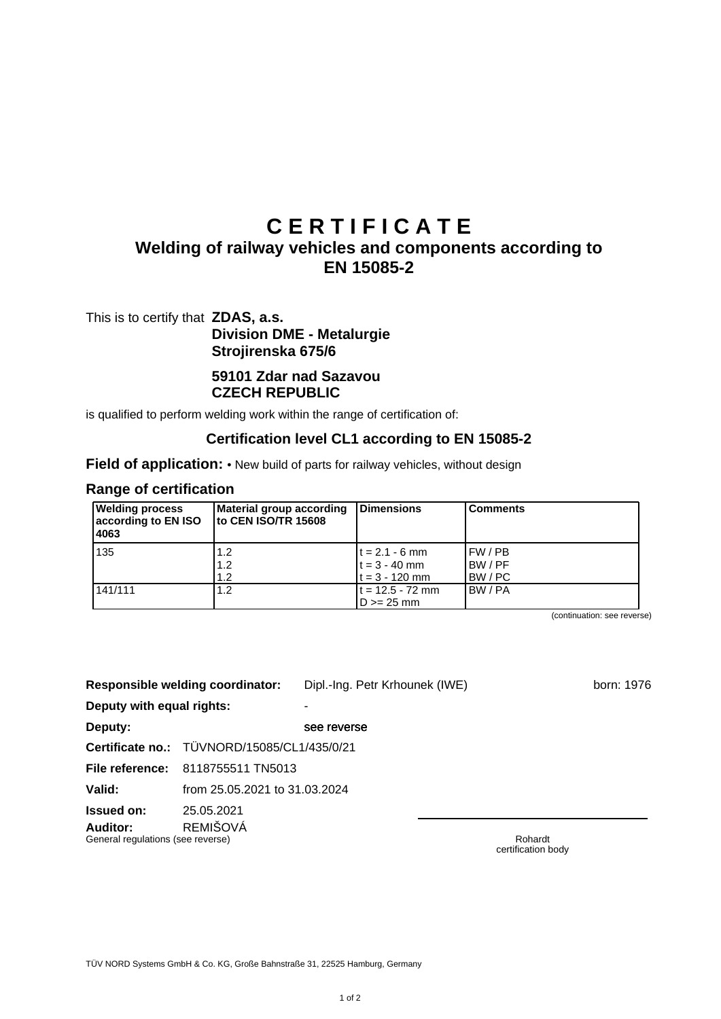# **C E R T I F I C A T E**

# **Welding of railway vehicles and components according to EN 15085-2**

This is to certify that **ZDAS, a.s. Division DME - Metalurgie Strojirenska 675/6**

# **59101 Zdar nad Sazavou CZECH REPUBLIC**

is qualified to perform welding work within the range of certification of:

#### **Certification level CL1 according to EN 15085-2**

**Field of application:** • New build of parts for railway vehicles, without design

#### **Range of certification**

| <b>Welding process</b><br>according to EN ISO<br>4063 | Material group according<br>to CEN ISO/TR 15608 | Dimensions                                              | <b>Comments</b>                   |
|-------------------------------------------------------|-------------------------------------------------|---------------------------------------------------------|-----------------------------------|
| 135                                                   | 1.2<br>1.2<br>1.2                               | $t = 2.1 - 6$ mm<br>$t = 3 - 40$ mm<br>$t = 3 - 120$ mm | I FW / PB<br>IBW / PF<br>IBW / PC |
| 141/111                                               | 1.2                                             | $t = 12.5 - 72$ mm<br>$D \ge 25$ mm                     | IBW / PA                          |

(continuation: see reverse)

|                                               | Responsible welding coordinator:            | Dipl.-Ing. Petr Krhounek (IWE) | born: 1976 |
|-----------------------------------------------|---------------------------------------------|--------------------------------|------------|
| Deputy with equal rights:                     |                                             |                                |            |
| Deputy:                                       |                                             | see reverse                    |            |
|                                               | Certificate no.: TÜVNORD/15085/CL1/435/0/21 |                                |            |
| File reference:                               | 8118755511 TN5013                           |                                |            |
| Valid:                                        | from 25.05.2021 to 31.03.2024               |                                |            |
| <b>Issued on:</b>                             | 25.05.2021                                  |                                |            |
| Auditor:<br>General regulations (see reverse) | <b>REMIŠOVÁ</b>                             |                                | Rohardt    |

certification body